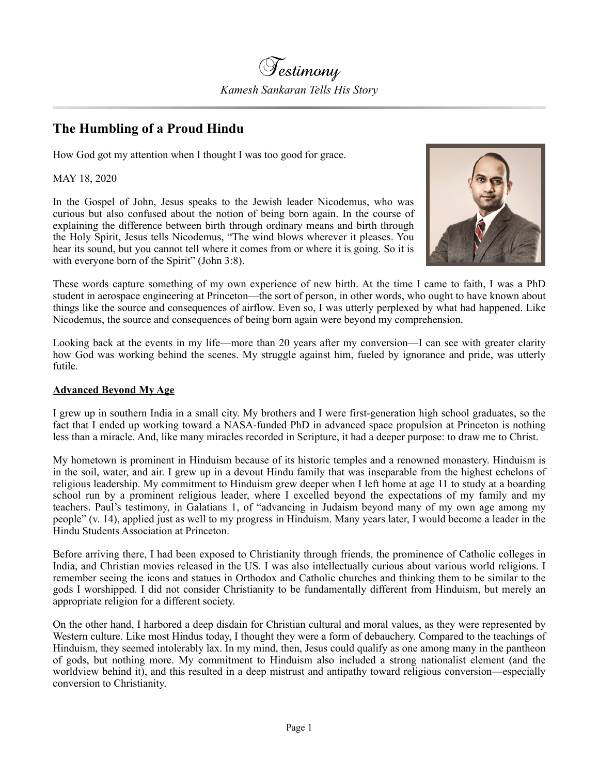

## **The Humbling of a Proud Hindu**

How God got my attention when I thought I was too good for grace.

MAY 18, 2020

In the Gospel of John, Jesus speaks to the Jewish leader Nicodemus, who was curious but also confused about the notion of being born again. In the course of explaining the difference between birth through ordinary means and birth through the Holy Spirit, Jesus tells Nicodemus, "The wind blows wherever it pleases. You hear its sound, but you cannot tell where it comes from or where it is going. So it is with everyone born of the Spirit" (John 3:8).



These words capture something of my own experience of new birth. At the time I came to faith, I was a PhD student in aerospace engineering at Princeton—the sort of person, in other words, who ought to have known about things like the source and consequences of airflow. Even so, I was utterly perplexed by what had happened. Like Nicodemus, the source and consequences of being born again were beyond my comprehension.

Looking back at the events in my life—more than 20 years after my conversion—I can see with greater clarity how God was working behind the scenes. My struggle against him, fueled by ignorance and pride, was utterly futile.

## **Advanced Beyond My Age**

I grew up in southern India in a small city. My brothers and I were first-generation high school graduates, so the fact that I ended up working toward a NASA-funded PhD in advanced space propulsion at Princeton is nothing less than a miracle. And, like many miracles recorded in Scripture, it had a deeper purpose: to draw me to Christ.

My hometown is prominent in Hinduism because of its historic temples and a renowned monastery. Hinduism is in the soil, water, and air. I grew up in a devout Hindu family that was inseparable from the highest echelons of religious leadership. My commitment to Hinduism grew deeper when I left home at age 11 to study at a boarding school run by a prominent religious leader, where I excelled beyond the expectations of my family and my teachers. Paul's testimony, in Galatians 1, of "advancing in Judaism beyond many of my own age among my people" (v. 14), applied just as well to my progress in Hinduism. Many years later, I would become a leader in the Hindu Students Association at Princeton.

Before arriving there, I had been exposed to Christianity through friends, the prominence of Catholic colleges in India, and Christian movies released in the US. I was also intellectually curious about various world religions. I remember seeing the icons and statues in Orthodox and Catholic churches and thinking them to be similar to the gods I worshipped. I did not consider Christianity to be fundamentally different from Hinduism, but merely an appropriate religion for a different society.

On the other hand, I harbored a deep disdain for Christian cultural and moral values, as they were represented by Western culture. Like most Hindus today, I thought they were a form of debauchery. Compared to the teachings of Hinduism, they seemed intolerably lax. In my mind, then, Jesus could qualify as one among many in the pantheon of gods, but nothing more. My commitment to Hinduism also included a strong nationalist element (and the worldview behind it), and this resulted in a deep mistrust and antipathy toward religious conversion—especially conversion to Christianity.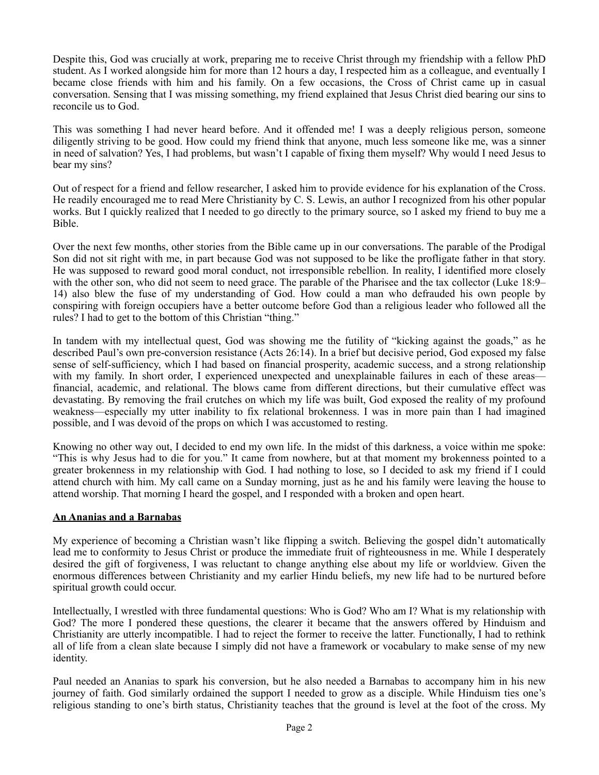Despite this, God was crucially at work, preparing me to receive Christ through my friendship with a fellow PhD student. As I worked alongside him for more than 12 hours a day, I respected him as a colleague, and eventually I became close friends with him and his family. On a few occasions, the Cross of Christ came up in casual conversation. Sensing that I was missing something, my friend explained that Jesus Christ died bearing our sins to reconcile us to God.

This was something I had never heard before. And it offended me! I was a deeply religious person, someone diligently striving to be good. How could my friend think that anyone, much less someone like me, was a sinner in need of salvation? Yes, I had problems, but wasn't I capable of fixing them myself? Why would I need Jesus to bear my sins?

Out of respect for a friend and fellow researcher, I asked him to provide evidence for his explanation of the Cross. He readily encouraged me to read Mere Christianity by C. S. Lewis, an author I recognized from his other popular works. But I quickly realized that I needed to go directly to the primary source, so I asked my friend to buy me a Bible.

Over the next few months, other stories from the Bible came up in our conversations. The parable of the Prodigal Son did not sit right with me, in part because God was not supposed to be like the profligate father in that story. He was supposed to reward good moral conduct, not irresponsible rebellion. In reality, I identified more closely with the other son, who did not seem to need grace. The parable of the Pharisee and the tax collector (Luke 18:9– 14) also blew the fuse of my understanding of God. How could a man who defrauded his own people by conspiring with foreign occupiers have a better outcome before God than a religious leader who followed all the rules? I had to get to the bottom of this Christian "thing."

In tandem with my intellectual quest, God was showing me the futility of "kicking against the goads," as he described Paul's own pre-conversion resistance (Acts 26:14). In a brief but decisive period, God exposed my false sense of self-sufficiency, which I had based on financial prosperity, academic success, and a strong relationship with my family. In short order, I experienced unexpected and unexplainable failures in each of these areas financial, academic, and relational. The blows came from different directions, but their cumulative effect was devastating. By removing the frail crutches on which my life was built, God exposed the reality of my profound weakness—especially my utter inability to fix relational brokenness. I was in more pain than I had imagined possible, and I was devoid of the props on which I was accustomed to resting.

Knowing no other way out, I decided to end my own life. In the midst of this darkness, a voice within me spoke: "This is why Jesus had to die for you." It came from nowhere, but at that moment my brokenness pointed to a greater brokenness in my relationship with God. I had nothing to lose, so I decided to ask my friend if I could attend church with him. My call came on a Sunday morning, just as he and his family were leaving the house to attend worship. That morning I heard the gospel, and I responded with a broken and open heart.

## **An Ananias and a Barnabas**

My experience of becoming a Christian wasn't like flipping a switch. Believing the gospel didn't automatically lead me to conformity to Jesus Christ or produce the immediate fruit of righteousness in me. While I desperately desired the gift of forgiveness, I was reluctant to change anything else about my life or worldview. Given the enormous differences between Christianity and my earlier Hindu beliefs, my new life had to be nurtured before spiritual growth could occur.

Intellectually, I wrestled with three fundamental questions: Who is God? Who am I? What is my relationship with God? The more I pondered these questions, the clearer it became that the answers offered by Hinduism and Christianity are utterly incompatible. I had to reject the former to receive the latter. Functionally, I had to rethink all of life from a clean slate because I simply did not have a framework or vocabulary to make sense of my new identity.

Paul needed an Ananias to spark his conversion, but he also needed a Barnabas to accompany him in his new journey of faith. God similarly ordained the support I needed to grow as a disciple. While Hinduism ties one's religious standing to one's birth status, Christianity teaches that the ground is level at the foot of the cross. My